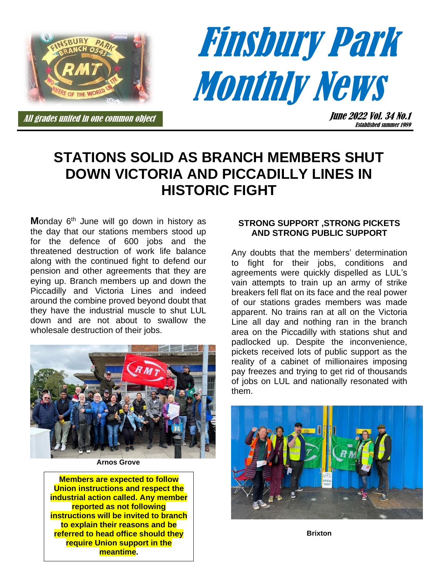

# Finsbury Park **Monthly News**

All grades united in one common object

June 2022 Vol. 34 No.1 Established summer 1989

# **STATIONS SOLID AS BRANCH MEMBERS SHUT DOWN VICTORIA AND PICCADILLY LINES IN HISTORIC FIGHT**

**Monday 6<sup>th</sup> June will go down in history as** the day that our stations members stood up for the defence of 600 jobs and the threatened destruction of work life balance along with the continued fight to defend our pension and other agreements that they are eying up. Branch members up and down the Piccadilly and Victoria Lines and indeed around the combine proved beyond doubt that they have the industrial muscle to shut LUL down and are not about to swallow the wholesale destruction of their jobs.



**Arnos Grove**

**Members are expected to follow Union instructions and respect the industrial action called. Any member reported as not following instructions will be invited to branch to explain their reasons and be referred to head office should they require Union support in the meantime.**

#### **STRONG SUPPORT ,STRONG PICKETS AND STRONG PUBLIC SUPPORT**

Any doubts that the members' determination to fight for their jobs, conditions and agreements were quickly dispelled as LUL's vain attempts to train up an army of strike breakers fell flat on its face and the real power of our stations grades members was made apparent. No trains ran at all on the Victoria Line all day and nothing ran in the branch area on the Piccadilly with stations shut and padlocked up. Despite the inconvenience, pickets received lots of public support as the reality of a cabinet of millionaires imposing pay freezes and trying to get rid of thousands of jobs on LUL and nationally resonated with them.



**Brixton**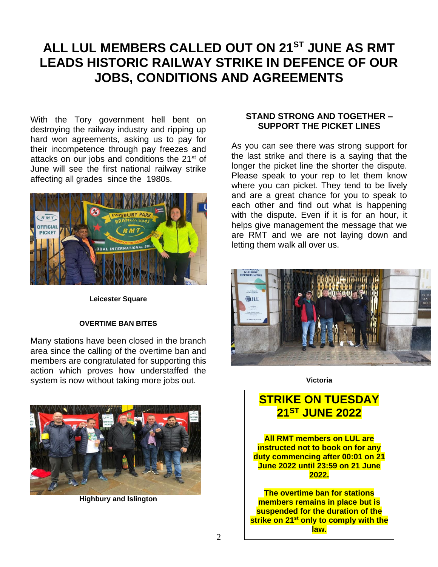# **ALL LUL MEMBERS CALLED OUT ON 21ST JUNE AS RMT LEADS HISTORIC RAILWAY STRIKE IN DEFENCE OF OUR JOBS, CONDITIONS AND AGREEMENTS**

With the Tory government hell bent on destroying the railway industry and ripping up hard won agreements, asking us to pay for their incompetence through pay freezes and attacks on our jobs and conditions the 21<sup>st</sup> of June will see the first national railway strike affecting all grades since the 1980s.



**Leicester Square**

#### **OVERTIME BAN BITES**

Many stations have been closed in the branch area since the calling of the overtime ban and members are congratulated for supporting this action which proves how understaffed the system is now without taking more jobs out.



**Highbury and Islington**

#### **STAND STRONG AND TOGETHER – SUPPORT THE PICKET LINES**

As you can see there was strong support for the last strike and there is a saying that the longer the picket line the shorter the dispute. Please speak to your rep to let them know where you can picket. They tend to be lively and are a great chance for you to speak to each other and find out what is happening with the dispute. Even if it is for an hour, it helps give management the message that we are RMT and we are not laying down and letting them walk all over us.



**Victoria**

### **STRIKE ON TUESDAY 21ST JUNE 2022**

**All RMT members on LUL are instructed not to book on for any duty commencing after 00:01 on 21 June 2022 until 23:59 on 21 June 2022.**

**The overtime ban for stations members remains in place but is suspended for the duration of the strike on 21st only to comply with the law.**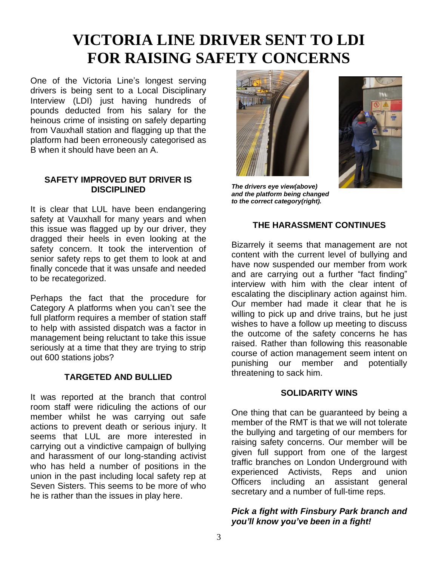# **VICTORIA LINE DRIVER SENT TO LDI FOR RAISING SAFETY CONCERNS**

One of the Victoria Line's longest serving drivers is being sent to a Local Disciplinary Interview (LDI) just having hundreds of pounds deducted from his salary for the heinous crime of insisting on safely departing from Vauxhall station and flagging up that the platform had been erroneously categorised as B when it should have been an A.

#### **SAFETY IMPROVED BUT DRIVER IS DISCIPLINED**

It is clear that LUL have been endangering safety at Vauxhall for many years and when this issue was flagged up by our driver, they dragged their heels in even looking at the safety concern. It took the intervention of senior safety reps to get them to look at and finally concede that it was unsafe and needed to be recategorized.

Perhaps the fact that the procedure for Category A platforms when you can't see the full platform requires a member of station staff to help with assisted dispatch was a factor in management being reluctant to take this issue seriously at a time that they are trying to strip out 600 stations jobs?

#### **TARGETED AND BULLIED**

It was reported at the branch that control room staff were ridiculing the actions of our member whilst he was carrying out safe actions to prevent death or serious injury. It seems that LUL are more interested in carrying out a vindictive campaign of bullying and harassment of our long-standing activist who has held a number of positions in the union in the past including local safety rep at Seven Sisters. This seems to be more of who he is rather than the issues in play here.





*The drivers eye view(above) and the platform being changed to the correct category(right).*

#### **THE HARASSMENT CONTINUES**

Bizarrely it seems that management are not content with the current level of bullying and have now suspended our member from work and are carrying out a further "fact finding" interview with him with the clear intent of escalating the disciplinary action against him. Our member had made it clear that he is willing to pick up and drive trains, but he just wishes to have a follow up meeting to discuss the outcome of the safety concerns he has raised. Rather than following this reasonable course of action management seem intent on punishing our member and potentially threatening to sack him.

#### **SOLIDARITY WINS**

One thing that can be guaranteed by being a member of the RMT is that we will not tolerate the bullying and targeting of our members for raising safety concerns. Our member will be given full support from one of the largest traffic branches on London Underground with experienced Activists, Reps and union Officers including an assistant general secretary and a number of full-time reps.

#### *Pick a fight with Finsbury Park branch and you'll know you've been in a fight!*